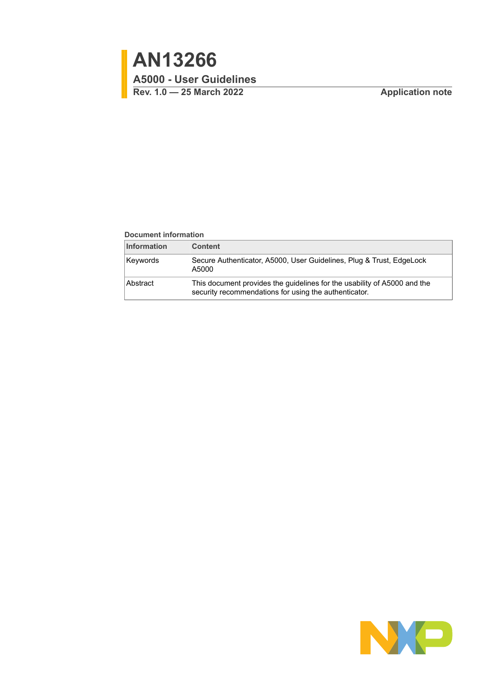#### **Document information**

| <b>Information</b> | <b>Content</b>                                                                                                                    |
|--------------------|-----------------------------------------------------------------------------------------------------------------------------------|
| Keywords           | Secure Authenticator, A5000, User Guidelines, Plug & Trust, EdgeLock<br>A5000                                                     |
| Abstract           | This document provides the guidelines for the usability of A5000 and the<br>security recommendations for using the authenticator. |

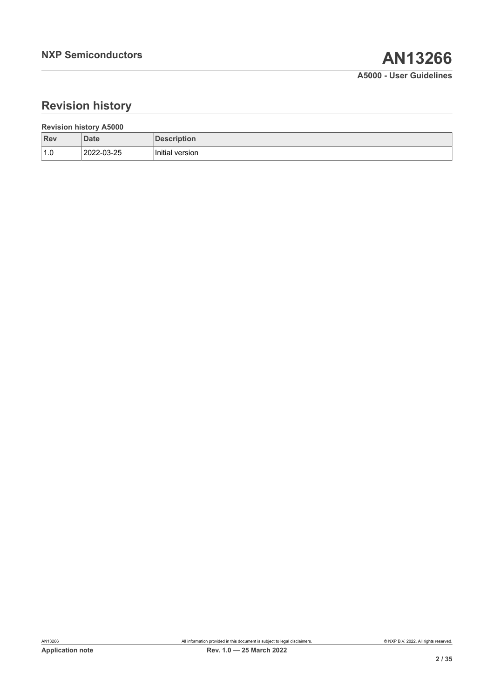# **Revision history**

| <b>Revision history A5000</b> |             |                    |  |
|-------------------------------|-------------|--------------------|--|
| Rev                           | <b>Date</b> | <b>Description</b> |  |
| 1.0                           | 2022-03-25  | Initial version    |  |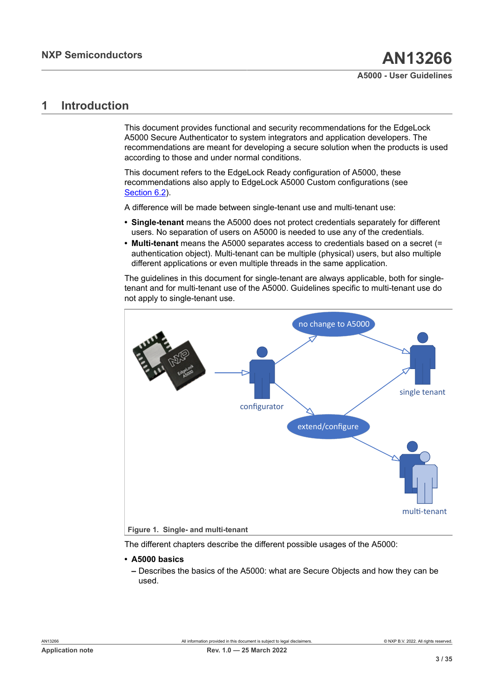## <span id="page-2-1"></span>**1 Introduction**

This document provides functional and security recommendations for the EdgeLock A5000 Secure Authenticator to system integrators and application developers. The recommendations are meant for developing a secure solution when the products is used according to those and under normal conditions.

This document refers to the EdgeLock Ready configuration of A5000, these recommendations also apply to EdgeLock A5000 Custom configurations (see [Section 6.2\)](#page-20-0).

A difference will be made between single-tenant use and multi-tenant use:

- **• Single-tenant** means the A5000 does not protect credentials separately for different users. No separation of users on A5000 is needed to use any of the credentials.
- **• Multi-tenant** means the A5000 separates access to credentials based on a secret (= authentication object). Multi-tenant can be multiple (physical) users, but also multiple different applications or even multiple threads in the same application.

The guidelines in this document for single-tenant are always applicable, both for singletenant and for multi-tenant use of the A5000. Guidelines specific to multi-tenant use do not apply to single-tenant use.

<span id="page-2-0"></span>

The different chapters describe the different possible usages of the A5000:

- **• A5000 basics**
	- **–** Describes the basics of the A5000: what are Secure Objects and how they can be used.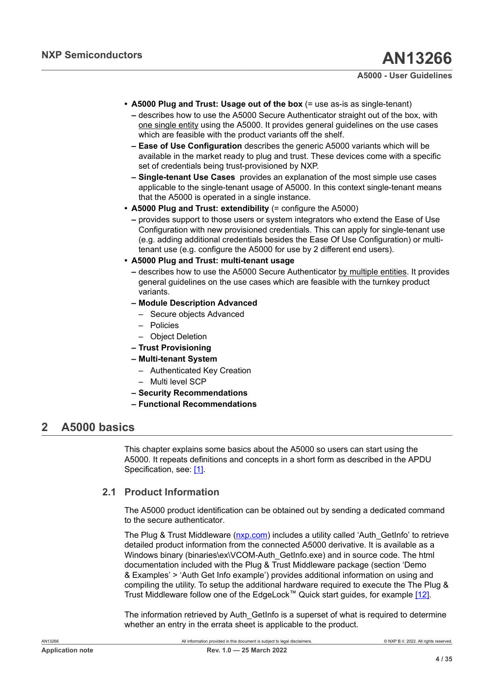- **• A5000 Plug and Trust: Usage out of the box** (= use as-is as single-tenant)
	- **–** describes how to use the A5000 Secure Authenticator straight out of the box, with one single entity using the A5000. It provides general guidelines on the use cases which are feasible with the product variants off the shelf.
	- **– Ease of Use Configuration** describes the generic A5000 variants which will be available in the market ready to plug and trust. These devices come with a specific set of credentials being trust-provisioned by NXP.
	- **– Single-tenant Use Cases** provides an explanation of the most simple use cases applicable to the single-tenant usage of A5000. In this context single-tenant means that the A5000 is operated in a single instance.
- **• A5000 Plug and Trust: extendibility** (= configure the A5000)
	- **–** provides support to those users or system integrators who extend the Ease of Use Configuration with new provisioned credentials. This can apply for single-tenant use (e.g. adding additional credentials besides the Ease Of Use Configuration) or multitenant use (e.g. configure the A5000 for use by 2 different end users).
- **• A5000 Plug and Trust: multi-tenant usage**
	- **–** describes how to use the A5000 Secure Authenticator by multiple entities. It provides general guidelines on the use cases which are feasible with the turnkey product variants.
	- **– Module Description Advanced**
		- Secure objects Advanced
		- Policies
		- Object Deletion
	- **– Trust Provisioning**
	- **– Multi-tenant System**
		- Authenticated Key Creation
		- Multi level SCP
	- **– Security Recommendations**
	- **– Functional Recommendations**

## <span id="page-3-0"></span>**2 A5000 basics**

This chapter explains some basics about the A5000 so users can start using the A5000. It repeats definitions and concepts in a short form as described in the APDU Specification, see: [\[1\].](#page-31-0)

### **2.1 Product Information**

<span id="page-3-1"></span>The A5000 product identification can be obtained out by sending a dedicated command to the secure authenticator.

The Plug & Trust Middleware ([nxp.com](https://www.nxp.com/)) includes a utility called 'Auth\_GetInfo' to retrieve detailed product information from the connected A5000 derivative. It is available as a Windows binary (binaries\ex\VCOM-Auth\_GetInfo.exe) and in source code. The html documentation included with the Plug & Trust Middleware package (section 'Demo & Examples' > 'Auth Get Info example') provides additional information on using and compiling the utility. To setup the additional hardware required to execute the The Plug & Trust Middleware follow one of the EdgeLock™ Quick start guides, for example [\[12\]](#page-31-1).

The information retrieved by Auth GetInfo is a superset of what is required to determine whether an entry in the errata sheet is applicable to the product.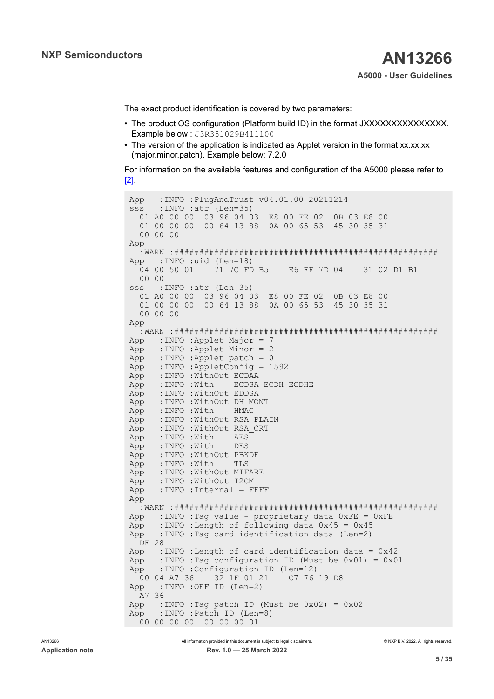The exact product identification is covered by two parameters:

- **•** The product OS configuration (Platform build ID) in the format JXXXXXXXXXXXXXXX. Example below : J3R351029B411100
- The version of the application is indicated as Applet version in the format xx.xx.xx (major.minor.patch). Example below: 7.2.0

For information on the available features and configuration of the A5000 please refer to [\[2\]](#page-31-2).

```
App :INFO :PlugAndTrust_v04.01.00_20211214<br>sss :INFO :atr (Len=35)
       :INFO :atr (Len=35)
   01 A0 00 00 03 96 04 03 E8 00 FE 02 0B 03 E8 00 
    01 00 00 00 00 64 13 88 0A 00 65 53 45 30 35 31 
   00 00 00 
App 
    :WARN :#####################################################
App :INFO :uid (Len=18)<br>04  00  50  01  71  7C  FD  B5
                                              E6 FF 7D 04 31 02 D1 B1
00 00<br>sss :
       :INFO :atr (Len=35)
   01 A0 00 00 03 96 04 03 E8 00 FE 02 0B 03 E8 00 
    01 00 00 00 00 64 13 88 0A 00 65 53 45 30 35 31 
   00 00 00 
App 
 :WARN :#####################################################
App : INFO : Applet Major = 7<br>App : INFO : Applet Minor = 2
App :INFO :Applet Minor = 2<br>App :INFO :Applet patch = 0
App :INFO :Applet patch = 0<br>App :INFO :AppletConfig = 1
App :INFO :AppletConfig = 1592<br>App :INFO :WithOut ECDAA
App : INFO : WithOut ECDAA<br>App : INFO : With ECDSA
App : INFO : With ECDSA_ECDH_ECDHE<br>App : INFO : WithOut EDDSA
App : INFO : WithOut EDDSA<br>App : INFO : WithOut DH MOI
App : INFO : WithOut DH_MONT<br>App : INFO : With HMAC
App :INFO :With HMAC<br>App :INFO :WithOut RSA :
App : INFO : WithOut RSA_PLAIN<br>App : INFO : WithOut RSA CRT
App : INFO : WithOut RSA_CRT<br>App : INFO : With AES
App : INFO : With AES<br>App : INFO : With DES
        :INFO :With
App : INFO : WithOut PBKDF<br>App : INFO : With TLS
App : INFO : With TLS<br>App : INFO : WithOut MIF.
App : INFO : WithOut MIFARE<br>App : INFO : WithOut I2CM
App :INFO :WithOut I2CM<br>App :INFO :Internal = F
        :INFO :Internal = FFFFApp 
   :WARN :#####################################################
App : INFO : Tag value - proprietary data 0xFE = 0xFE
App :INFO :Length of following data 0x45 = 0x45<br>App :INFO :Tag card identification data (Len=2)
        :INFO :Tag card identification data (Len=2)
  DF 28 
App :INFO :Length of card identification data = 0x42
App :INFO :Tag configuration ID (Must be 0 \times 01) = 0 \times 01<br>App :INFO :Configuration ID (Len=12)
        INFO :Configuration ID (Len=12)<br>04 A7 36     32 1F 01 21     C7 76 19 D8
00 04 A7 36 32 1F 01 21<br>App : INFO : OEF ID (Len=2)
        :INFO :OEF ID (Len=2)
A7 36<br>App :
App :INFO :Tag patch ID (Must be 0x02) = 0x02<br>App :INFO :Patch ID (Len=8)
        :INFO :Patch ID (Len=8)
 00 00 00 00 00 00 00 01
```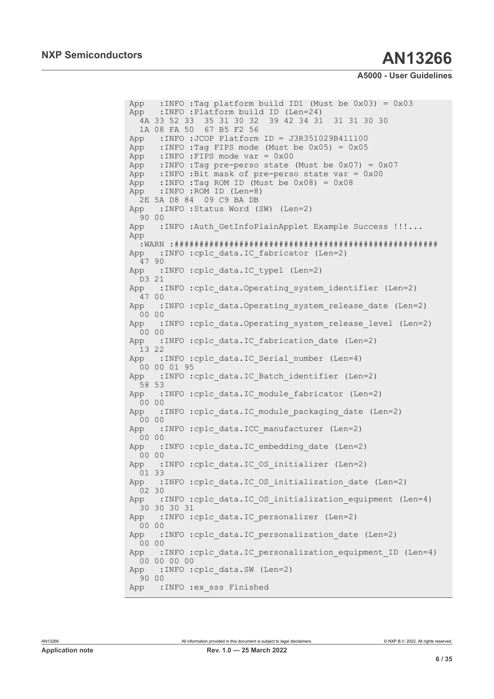App :INFO :Tag platform build ID1 (Must be  $0x03$ ) =  $0x03$ <br>App :INFO :Platform build ID (Len=24) : INFO : Platform build ID (Len=24) 4A 33 52 33 35 31 30 32 39 42 34 31 31 31 30 30 1A 08 FA 50 67 B5 F2 56<br>App :INFO :JCOP Platform : INFO : JCOP Platform ID = J3R351029B411100 App :INFO :Tag FIPS mode (Must be  $0 \times 05$ ) =  $0 \times 05$ <br>App :INFO :FIPS mode yar =  $0 \times 00$ App :INFO :FIPS mode var = 0x00<br>App :INFO :Tag pre-perso state :INFO :Tag pre-perso state (Must be  $0x07$ ) =  $0x07$ App :INFO :Bit mask of pre-perso state var = 0x00 App :INFO :Tag ROM ID (Must be  $0 \times 08$ ) =  $0 \times 08$ <br>App :INFO :ROM ID (Len=8) :INFO :ROM ID (Len=8) 2E 5A D8 84 09 C9 BA DB App :INFO :Status Word (SW) (Len=2) 90 00 App :INFO :Auth GetInfoPlainApplet Example Success !!!... App :WARN :##################################################### App :INFO :cplc data.IC fabricator (Len=2)  $4790$ <br>App : :INFO :cplc data.IC type1 (Len=2)  $D3 21$ <br>App : :INFO :cplc data.Operating system identifier (Len=2)  $4700$ <br>App : : INFO :cplc data.Operating system release date (Len=2) 00 00 App : INFO : cplc data. Operating system release level (Len=2) 00 00 App :INFO :cplc\_data.IC fabrication date (Len=2) 13 22<br>App : :INFO :cplc data.IC Serial number (Len=4) 00 00 01 95 App :INFO :cplc data.IC Batch identifier (Len=2) 58 53 App :INFO :cplc data.IC module fabricator (Len=2) 00 00 App : INFO : cplc data.IC module packaging date (Len=2)  $0000$ <br>App : : INFO :cplc data. ICC manufacturer (Len=2) 00 00<br>App : :INFO :cplc data.IC embedding date (Len=2)  $00 00$ <br>App : :INFO :cplc data.IC OS initializer (Len=2) 01 33 App : INFO :cplc data.IC OS initialization date (Len=2) 02 30 App : INFO : cplc data.IC OS initialization equipment (Len=4) 30 30 30 31<br>App : INFO : :INFO :cplc data.IC personalizer (Len=2) 00 00 App :INFO :cplc data.IC personalization date (Len=2) 00 00<br>App : :INFO :cplc data.IC personalization equipment ID (Len=4) 00 00 00 00 App : INFO : cplc data.SW (Len=2) 90 00 App : INFO : ex sss Finished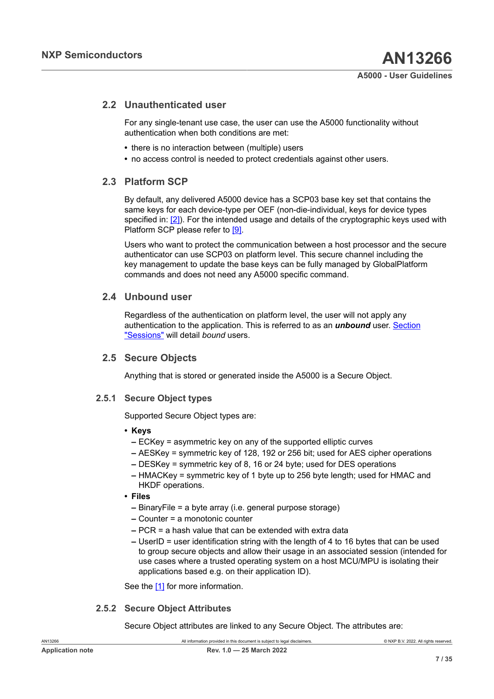## **2.2 Unauthenticated user**

<span id="page-6-1"></span>For any single-tenant use case, the user can use the A5000 functionality without authentication when both conditions are met:

- **•** there is no interaction between (multiple) users
- <span id="page-6-2"></span>**•** no access control is needed to protect credentials against other users.

## **2.3 Platform SCP**

By default, any delivered A5000 device has a SCP03 base key set that contains the same keys for each device-type per OEF (non-die-individual, keys for device types specified in: [\[2\]\)](#page-31-2). For the intended usage and details of the cryptographic keys used with Platform SCP please refer to [\[9\]](#page-31-3).

Users who want to protect the communication between a host processor and the secure authenticator can use SCP03 on platform level. This secure channel including the key management to update the base keys can be fully managed by GlobalPlatform commands and does not need any A5000 specific command.

## **2.4 Unbound user**

<span id="page-6-3"></span>Regardless of the authentication on platform level, the user will not apply any authentication to the application. This is referred to as an *unbound* user. [Section](#page-15-0) ["Sessions"](#page-15-0) will detail *bound* users.

## **2.5 Secure Objects**

<span id="page-6-4"></span><span id="page-6-0"></span>Anything that is stored or generated inside the A5000 is a Secure Object.

### **2.5.1 Secure Object types**

Supported Secure Object types are:

### **• Keys**

- **–** ECKey = asymmetric key on any of the supported elliptic curves
- **–** AESKey = symmetric key of 128, 192 or 256 bit; used for AES cipher operations
- **–** DESKey = symmetric key of 8, 16 or 24 byte; used for DES operations
- **–** HMACKey = symmetric key of 1 byte up to 256 byte length; used for HMAC and HKDF operations.
- **• Files**
	- **–** BinaryFile = a byte array (i.e. general purpose storage)
	- **–** Counter = a monotonic counter
	- **–** PCR = a hash value that can be extended with extra data
	- **–** UserID = user identification string with the length of 4 to 16 bytes that can be used to group secure objects and allow their usage in an associated session (intended for use cases where a trusted operating system on a host MCU/MPU is isolating their applications based e.g. on their application ID).

<span id="page-6-5"></span>See the [\[1\]](#page-31-0) for more information.

### **2.5.2 Secure Object Attributes**

Secure Object attributes are linked to any Secure Object. The attributes are: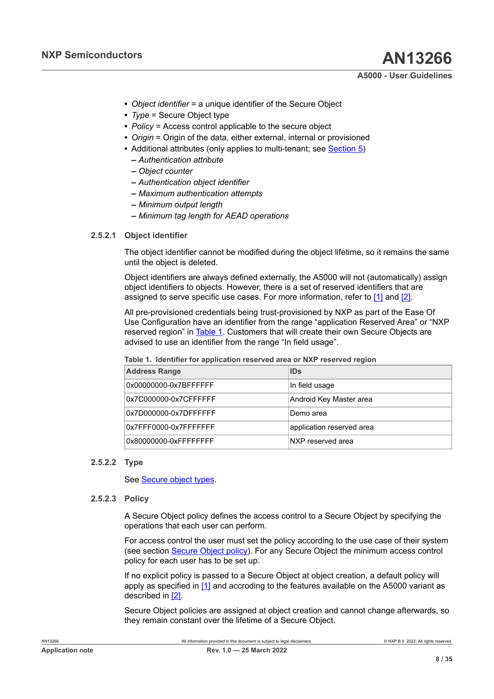- **•** *Object identifier* = a unique identifier of the Secure Object
- **•** *Type* = Secure Object type
- **•** *Policy* = Access control applicable to the secure object
- **•** *Origin* = Origin of the data, either external, internal or provisioned
- **•** Additional attributes (only applies to multi-tenant; see [Section 5](#page-14-0))
	- **–** *Authentication attribute*
	- **–** *Object counter*
	- **–** *Authentication object identifier*
	- **–** *Maximum authentication attempts*
	- **–** *Minimum output length*
	- **–** *Minimum tag length for AEAD operations*

#### **2.5.2.1 Object identifier**

<span id="page-7-1"></span>The object identifier cannot be modified during the object lifetime, so it remains the same until the object is deleted.

Object identifiers are always defined externally, the A5000 will not (automatically) assign object identifiers to objects. However, there is a set of reserved identifiers that are assigned to serve specific use cases. For more information, refer to [\[1\]](#page-31-0) and [\[2\].](#page-31-2)

All pre-provisioned credentials being trust-provisioned by NXP as part of the Ease Of Use Configuration have an identifier from the range "application Reserved Area" or "NXP reserved region" in [Table](#page-7-0) 1. Customers that will create their own Secure Objects are advised to use an identifier from the range "In field usage".

| <b>Address Range</b>  | <b>IDs</b>                |
|-----------------------|---------------------------|
| 0x00000000-0x7BFFFFFF | In field usage            |
| 0x7C000000-0x7CFFFFFF | Android Key Master area   |
| 0x7D000000-0x7DFFFFFF | Demo area                 |
| 0x7FFF0000-0x7FFFFFFF | application reserved area |
| 0x80000000-0xFFFFFFFF | NXP reserved area         |

<span id="page-7-0"></span>**Table 1. Identifier for application reserved area or NXP reserved region** 

#### **2.5.2.2 Type**

<span id="page-7-3"></span><span id="page-7-2"></span>See **[Secure object types](#page-6-0)**.

#### **2.5.2.3 Policy**

A Secure Object policy defines the access control to a Secure Object by specifying the operations that each user can perform.

For access control the user must set the policy according to the use case of their system (see section [Secure Object policy](#page-22-0)). For any Secure Object the minimum access control policy for each user has to be set up.

If no explicit policy is passed to a Secure Object at object creation, a default policy will apply as specified in [\[1\]](#page-31-0) and accroding to the features available on the A5000 variant as described in [\[2\].](#page-31-2)

Secure Object policies are assigned at object creation and cannot change afterwards, so they remain constant over the lifetime of a Secure Object.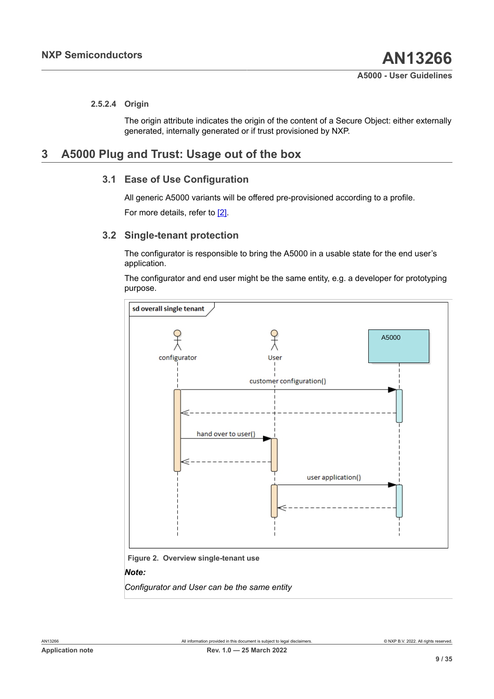#### **2.5.2.4 Origin**

<span id="page-8-0"></span>The origin attribute indicates the origin of the content of a Secure Object: either externally generated, internally generated or if trust provisioned by NXP.

## <span id="page-8-2"></span>**3 A5000 Plug and Trust: Usage out of the box**

## **3.1 Ease of Use Configuration**

<span id="page-8-3"></span>All generic A5000 variants will be offered pre-provisioned according to a profile.

<span id="page-8-4"></span>For more details, refer to [\[2\]](#page-31-2).

## **3.2 Single-tenant protection**

The configurator is responsible to bring the A5000 in a usable state for the end user's application.

The configurator and end user might be the same entity, e.g. a developer for prototyping purpose.

<span id="page-8-1"></span>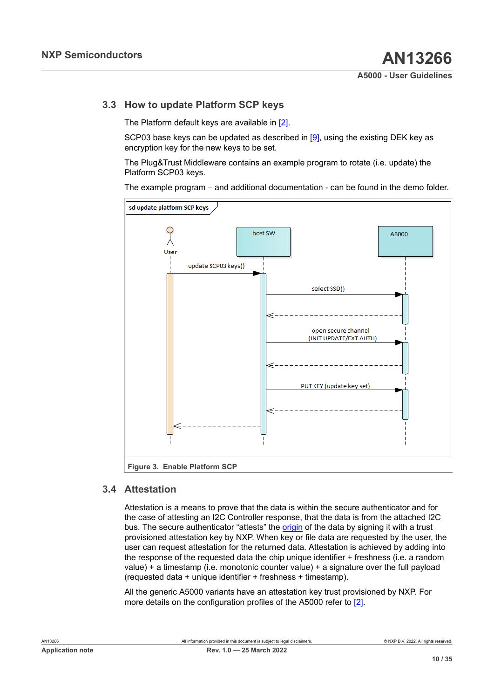## **3.3 How to update Platform SCP keys**

<span id="page-9-2"></span>The Platform default keys are available in [\[2\]](#page-31-2).

SCP03 base keys can be updated as described in [\[9\],](#page-31-3) using the existing DEK key as encryption key for the new keys to be set.

The Plug&Trust Middleware contains an example program to rotate (i.e. update) the Platform SCP03 keys.

The example program – and additional documentation - can be found in the demo folder.

<span id="page-9-1"></span>

### **3.4 Attestation**

<span id="page-9-0"></span>Attestation is a means to prove that the data is within the secure authenticator and for the case of attesting an I2C Controller response, that the data is from the attached I2C bus. The secure authenticator "attests" the *origin* of the data by signing it with a trust provisioned attestation key by NXP. When key or file data are requested by the user, the user can request attestation for the returned data. Attestation is achieved by adding into the response of the requested data the chip unique identifier + freshness (i.e. a random value) + a timestamp (i.e. monotonic counter value) + a signature over the full payload (requested data + unique identifier + freshness + timestamp).

All the generic A5000 variants have an attestation key trust provisioned by NXP. For more details on the configuration profiles of the A5000 refer to [\[2\].](#page-31-2)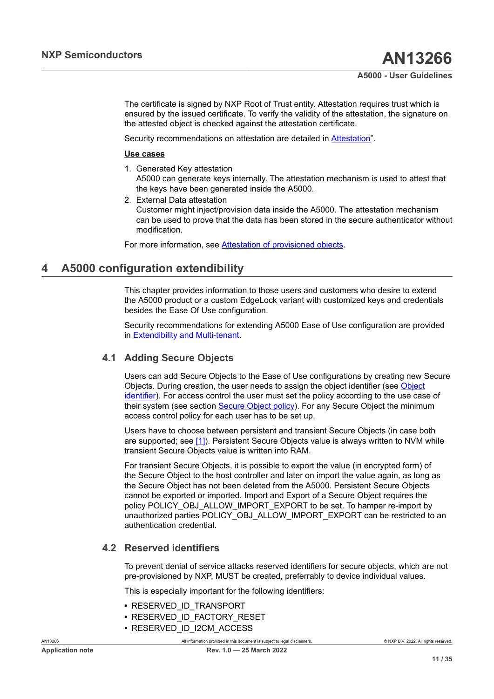The certificate is signed by NXP Root of Trust entity. Attestation requires trust which is ensured by the issued certificate. To verify the validity of the attestation, the signature on the attested object is checked against the attestation certificate.

Security recommendations on attestation are detailed in [Attestation"](#page-22-1).

#### **Use cases**

- 1. Generated Key attestation A5000 can generate keys internally. The attestation mechanism is used to attest that the keys have been generated inside the A5000.
- 2. External Data attestation Customer might inject/provision data inside the A5000. The attestation mechanism can be used to prove that the data has been stored in the secure authenticator without modification.

For more information, see [Attestation of provisioned objects.](#page-13-0)

## <span id="page-10-0"></span>**4 A5000 configuration extendibility**

This chapter provides information to those users and customers who desire to extend the A5000 product or a custom EdgeLock variant with customized keys and credentials besides the Ease Of Use configuration.

Security recommendations for extending A5000 Ease of Use configuration are provided in [Extendibility and Multi-tenant](#page-24-0).

## **4.1 Adding Secure Objects**

<span id="page-10-1"></span>Users can add Secure Objects to the Ease of Use configurations by creating new Secure Objects. During creation, the user needs to assign the object identifier (see [Object](#page-7-1) [identifier\)](#page-7-1). For access control the user must set the policy according to the use case of their system (see section [Secure Object policy\)](#page-22-0). For any Secure Object the minimum access control policy for each user has to be set up.

Users have to choose between persistent and transient Secure Objects (in case both are supported; see [\[1\]](#page-31-0)). Persistent Secure Objects value is always written to NVM while transient Secure Objects value is written into RAM.

For transient Secure Objects, it is possible to export the value (in encrypted form) of the Secure Object to the host controller and later on import the value again, as long as the Secure Object has not been deleted from the A5000. Persistent Secure Objects cannot be exported or imported. Import and Export of a Secure Object requires the policy POLICY\_OBJ\_ALLOW\_IMPORT\_EXPORT to be set. To hamper re-import by unauthorized parties POLICY\_OBJ\_ALLOW\_IMPORT\_EXPORT can be restricted to an authentication credential.

## **4.2 Reserved identifiers**

<span id="page-10-2"></span>To prevent denial of service attacks reserved identifiers for secure objects, which are not pre-provisioned by NXP, MUST be created, preferrably to device individual values.

This is especially important for the following identifiers:

- **•** RESERVED\_ID\_TRANSPORT
- **•** RESERVED\_ID\_FACTORY\_RESET
- **•** RESERVED\_ID\_I2CM\_ACCESS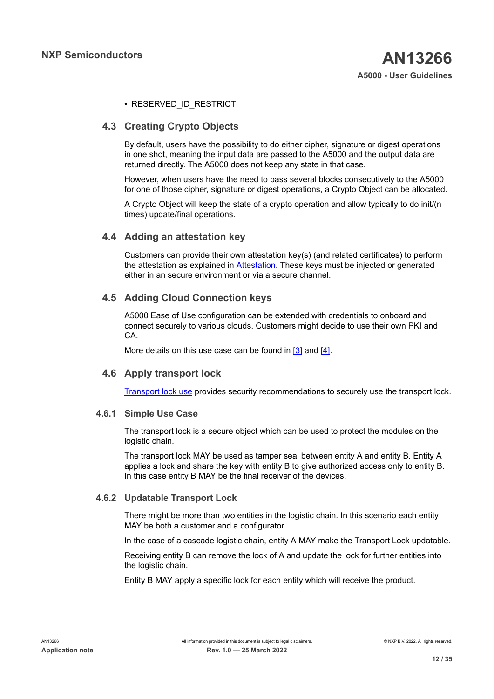#### <span id="page-11-0"></span>**•** RESERVED\_ID\_RESTRICT

## **4.3 Creating Crypto Objects**

By default, users have the possibility to do either cipher, signature or digest operations in one shot, meaning the input data are passed to the A5000 and the output data are returned directly. The A5000 does not keep any state in that case.

However, when users have the need to pass several blocks consecutively to the A5000 for one of those cipher, signature or digest operations, a Crypto Object can be allocated.

A Crypto Object will keep the state of a crypto operation and allow typically to do init/(n times) update/final operations.

## **4.4 Adding an attestation key**

<span id="page-11-1"></span>Customers can provide their own attestation key(s) (and related certificates) to perform the attestation as explained in [Attestation](#page-9-0). These keys must be injected or generated either in an secure environment or via a secure channel.

## **4.5 Adding Cloud Connection keys**

<span id="page-11-2"></span>A5000 Ease of Use configuration can be extended with credentials to onboard and connect securely to various clouds. Customers might decide to use their own PKI and CA.

<span id="page-11-3"></span>More details on this use case can be found in [\[3\]](#page-31-4) and [\[4\].](#page-31-5)

### **4.6 Apply transport lock**

<span id="page-11-4"></span>[Transport](#page-24-1) lock use provides security recommendations to securely use the transport lock.

#### **4.6.1 Simple Use Case**

The transport lock is a secure object which can be used to protect the modules on the logistic chain.

The transport lock MAY be used as tamper seal between entity A and entity B. Entity A applies a lock and share the key with entity B to give authorized access only to entity B. In this case entity B MAY be the final receiver of the devices.

#### **4.6.2 Updatable Transport Lock**

<span id="page-11-5"></span>There might be more than two entities in the logistic chain. In this scenario each entity MAY be both a customer and a configurator.

In the case of a cascade logistic chain, entity A MAY make the Transport Lock updatable.

Receiving entity B can remove the lock of A and update the lock for further entities into the logistic chain.

Entity B MAY apply a specific lock for each entity which will receive the product.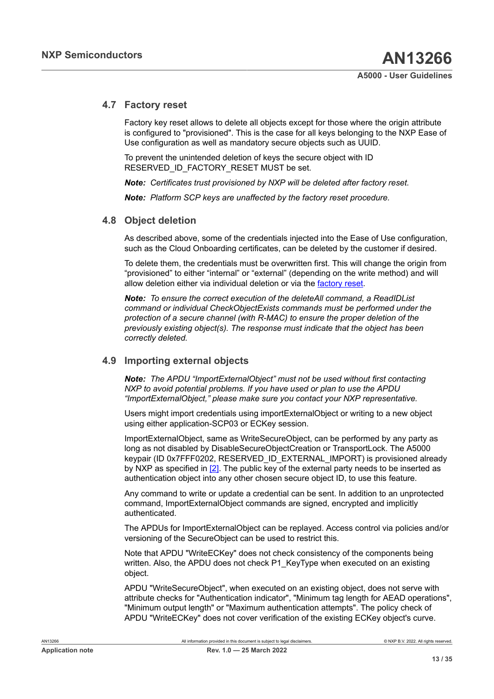## **4.7 Factory reset**

<span id="page-12-0"></span>Factory key reset allows to delete all objects except for those where the origin attribute is configured to "provisioned". This is the case for all keys belonging to the NXP Ease of Use configuration as well as mandatory secure objects such as UUID.

To prevent the unintended deletion of keys the secure object with ID RESERVED\_ID\_FACTORY\_RESET MUST be set.

*Note: Certificates trust provisioned by NXP will be deleted after factory reset.*

<span id="page-12-1"></span>*Note: Platform SCP keys are unaffected by the factory reset procedure.*

## **4.8 Object deletion**

As described above, some of the credentials injected into the Ease of Use configuration, such as the Cloud Onboarding certificates, can be deleted by the customer if desired.

To delete them, the credentials must be overwritten first. This will change the origin from "provisioned" to either "internal" or "external" (depending on the write method) and will allow deletion either via individual deletion or via the [factory reset.](#page-12-0)

*Note: To ensure the correct execution of the deleteAll command, a ReadIDList command or individual CheckObjectExists commands must be performed under the protection of a secure channel (with R-MAC) to ensure the proper deletion of the previously existing object(s). The response must indicate that the object has been correctly deleted.*

### **4.9 Importing external objects**

<span id="page-12-2"></span>*Note: The APDU "ImportExternalObject" must not be used without first contacting NXP to avoid potential problems. If you have used or plan to use the APDU "ImportExternalObject," please make sure you contact your NXP representative.*

Users might import credentials using importExternalObject or writing to a new object using either application-SCP03 or ECKey session.

ImportExternalObject, same as WriteSecureObject, can be performed by any party as long as not disabled by DisableSecureObjectCreation or TransportLock. The A5000 keypair (ID 0x7FFF0202, RESERVED\_ID\_EXTERNAL\_IMPORT) is provisioned already by NXP as specified in [\[2\].](#page-31-2) The public key of the external party needs to be inserted as authentication object into any other chosen secure object ID, to use this feature.

Any command to write or update a credential can be sent. In addition to an unprotected command, ImportExternalObject commands are signed, encrypted and implicitly authenticated.

The APDUs for ImportExternalObject can be replayed. Access control via policies and/or versioning of the SecureObject can be used to restrict this.

Note that APDU "WriteECKey" does not check consistency of the components being written. Also, the APDU does not check P1\_KeyType when executed on an existing object.

APDU "WriteSecureObject", when executed on an existing object, does not serve with attribute checks for "Authentication indicator", "Minimum tag length for AEAD operations", "Minimum output length" or "Maximum authentication attempts". The policy check of APDU "WriteECKey" does not cover verification of the existing ECKey object's curve.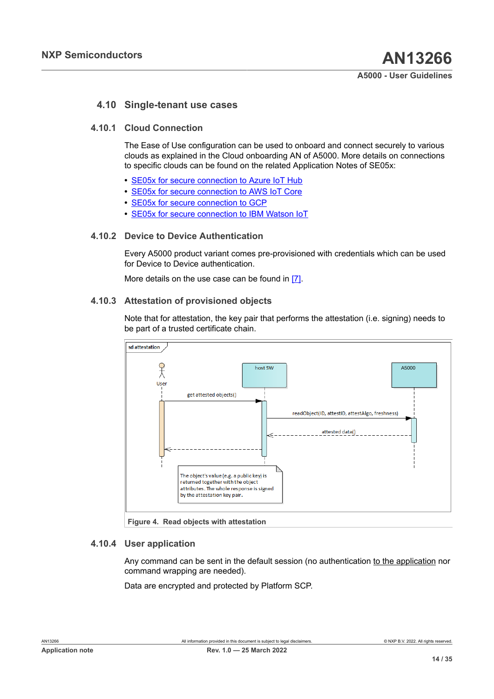## <span id="page-13-2"></span>**4.10 Single-tenant use cases**

#### **4.10.1 Cloud Connection**

<span id="page-13-3"></span>The Ease of Use configuration can be used to onboard and connect securely to various clouds as explained in the Cloud onboarding AN of A5000. More details on connections to specific clouds can be found on the related Application Notes of SE05x:

- **•** [SE05x for secure connection to Azure IoT Hub](#page-31-4)
- **•** SE05x for secure [connection](#page-31-5) to AWS IoT Core
- **•** [SE05x for secure connection to GCP](#page-31-6)
- <span id="page-13-4"></span>**•** SE05x for secure [connection](#page-31-7) to IBM Watson IoT

#### **4.10.2 Device to Device Authentication**

Every A5000 product variant comes pre-provisioned with credentials which can be used for Device to Device authentication.

<span id="page-13-0"></span>More details on the use case can be found in [\[7\].](#page-31-8)

#### **4.10.3 Attestation of provisioned objects**

Note that for attestation, the key pair that performs the attestation (i.e. signing) needs to be part of a trusted certificate chain.

<span id="page-13-1"></span>

#### **4.10.4 User application**

<span id="page-13-5"></span>Any command can be sent in the default session (no authentication to the application nor command wrapping are needed).

Data are encrypted and protected by Platform SCP.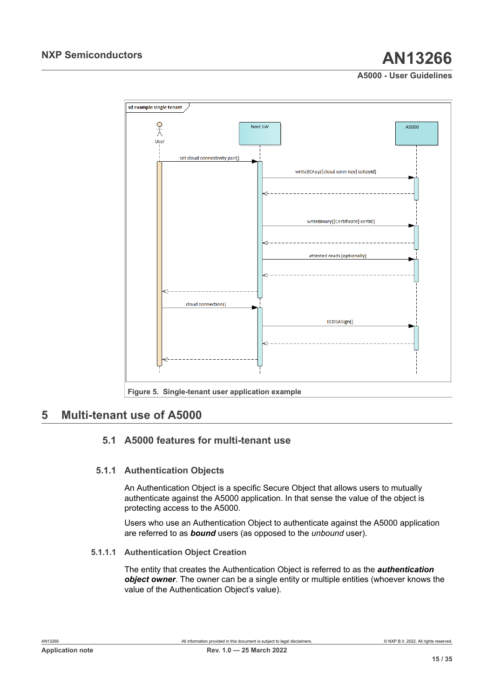<span id="page-14-1"></span>

## <span id="page-14-0"></span>**5 Multi-tenant use of A5000**

## <span id="page-14-2"></span>**5.1 A5000 features for multi-tenant use**

## **5.1.1 Authentication Objects**

<span id="page-14-3"></span>An Authentication Object is a specific Secure Object that allows users to mutually authenticate against the A5000 application. In that sense the value of the object is protecting access to the A5000.

Users who use an Authentication Object to authenticate against the A5000 application are referred to as *bound* users (as opposed to the *unbound* user).

### **5.1.1.1 Authentication Object Creation**

<span id="page-14-4"></span>The entity that creates the Authentication Object is referred to as the *authentication object owner*. The owner can be a single entity or multiple entities (whoever knows the value of the Authentication Object's value).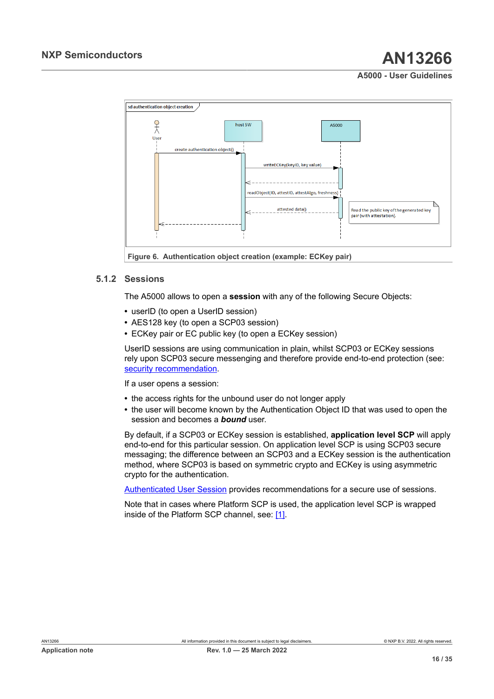<span id="page-15-1"></span>

## **5.1.2 Sessions**

<span id="page-15-0"></span>The A5000 allows to open a **session** with any of the following Secure Objects:

- **•** userID (to open a UserID session)
- **•** AES128 key (to open a SCP03 session)
- **•** ECKey pair or EC public key (to open a ECKey session)

UserID sessions are using communication in plain, whilst SCP03 or ECKey sessions rely upon SCP03 secure messenging and therefore provide end-to-end protection (see: [security recommendation.](#page-26-0)

If a user opens a session:

- **•** the access rights for the unbound user do not longer apply
- **•** the user will become known by the Authentication Object ID that was used to open the session and becomes a *bound* user.

By default, if a SCP03 or ECKey session is established, **application level SCP** will apply end-to-end for this particular session. On application level SCP is using SCP03 secure messaging; the difference between an SCP03 and a ECKey session is the authentication method, where SCP03 is based on symmetric crypto and ECKey is using asymmetric crypto for the authentication.

[Authenticated User Session](#page-25-0) provides recommendations for a secure use of sessions.

Note that in cases where Platform SCP is used, the application level SCP is wrapped inside of the Platform SCP channel, see: [\[1\]](#page-31-0).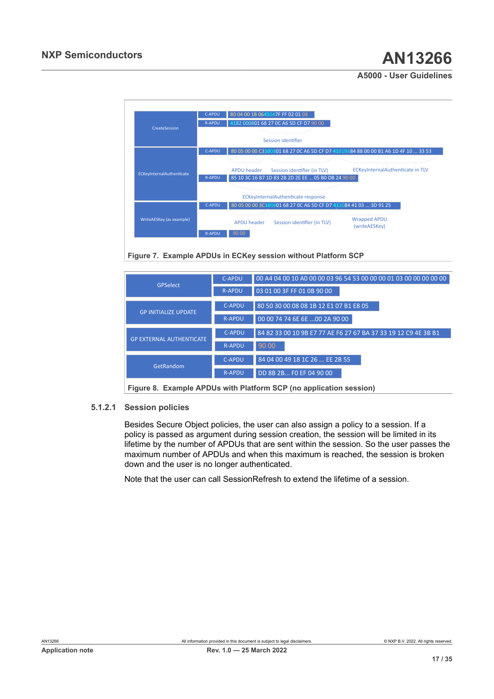<span id="page-16-0"></span>

**Figure 7. Example APDUs in ECKey session without Platform SCP**

<span id="page-16-1"></span>

|                                 | <b>C-APDU</b> | 00 A4 04 00 10 A0 00 00 03 96 54 53 00 00 00 01 03 00 00 00 00 00 |
|---------------------------------|---------------|-------------------------------------------------------------------|
| <b>GPSelect</b>                 | <b>R-APDU</b> | 03 01 00 3F FF 01 0B 90 00                                        |
| <b>GP INITIALIZE UPDATE</b>     | <b>C-APDU</b> | 80 50 30 00 08 08 1B 12 E1 07 B1 E8 05                            |
|                                 | <b>R-APDU</b> | 00 00 74 74 6E 6E 00 2A 90 00                                     |
| <b>GP EXTERNAL AUTHENTICATE</b> | <b>C-APDU</b> | 84 82 33 00 10 9B E7 77 AE F6 27 67 BA 37 33 19 12 C9 4E 3B B1    |
|                                 | <b>R-APDU</b> | 90 00                                                             |
| GetRandom                       | <b>C-APDU</b> | 84 04 00 49 18 1C 26  EE 2B 55                                    |
|                                 | <b>R-APDU</b> | DD 8B 2B FO EF 04 90 00                                           |

<span id="page-16-2"></span>**Figure 8. Example APDUs with Platform SCP (no application session)**

#### **5.1.2.1 Session policies**

Besides Secure Object policies, the user can also assign a policy to a session. If a policy is passed as argument during session creation, the session will be limited in its lifetime by the number of APDUs that are sent within the session. So the user passes the maximum number of APDUs and when this maximum is reached, the session is broken down and the user is no longer authenticated.

Note that the user can call SessionRefresh to extend the lifetime of a session.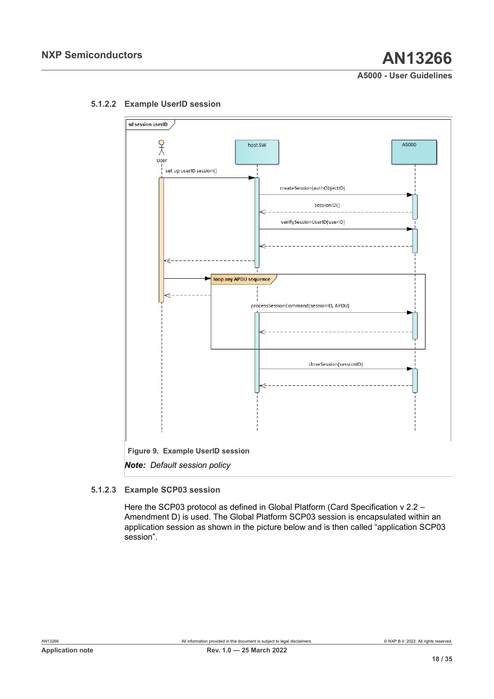<span id="page-17-1"></span><span id="page-17-0"></span>

### **5.1.2.2 Example UserID session**

### **5.1.2.3 Example SCP03 session**

<span id="page-17-2"></span>Here the SCP03 protocol as defined in Global Platform (Card Specification v 2.2 – Amendment D) is used. The Global Platform SCP03 session is encapsulated within an application session as shown in the picture below and is then called "application SCP03 session".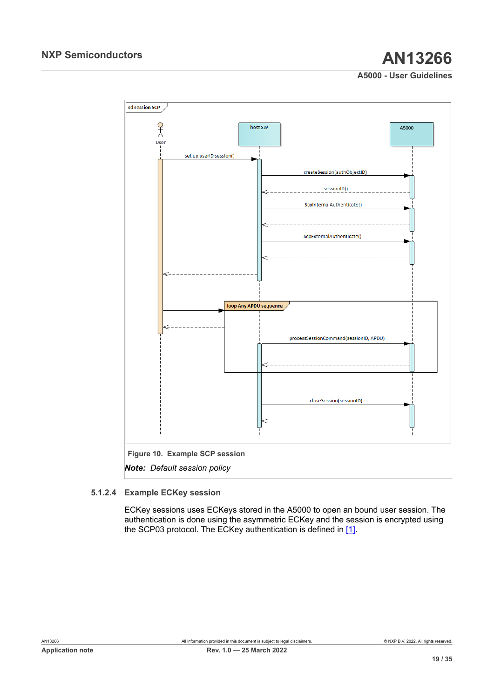<span id="page-18-0"></span>

#### **5.1.2.4 Example ECKey session**

<span id="page-18-1"></span>ECKey sessions uses ECKeys stored in the A5000 to open an bound user session. The authentication is done using the asymmetric ECKey and the session is encrypted using the SCP03 protocol. The ECKey authentication is defined in [\[1\]](#page-31-0).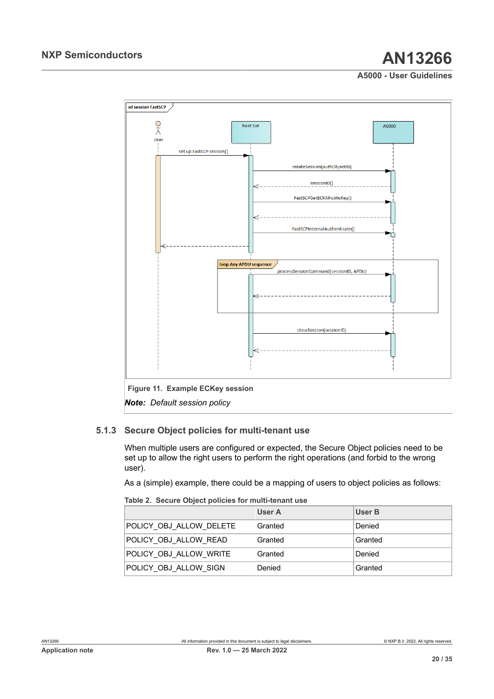<span id="page-19-1"></span>

### **5.1.3 Secure Object policies for multi-tenant use**

<span id="page-19-2"></span>When multiple users are configured or expected, the Secure Object policies need to be set up to allow the right users to perform the right operations (and forbid to the wrong user).

As a (simple) example, there could be a mapping of users to object policies as follows:

<span id="page-19-0"></span>

|  |  |  |  |  |  | Table 2. Secure Object policies for multi-tenant use |
|--|--|--|--|--|--|------------------------------------------------------|
|--|--|--|--|--|--|------------------------------------------------------|

|                         | User A  | User B  |
|-------------------------|---------|---------|
| POLICY OBJ ALLOW DELETE | Granted | Denied  |
| POLICY OBJ ALLOW READ   | Granted | Granted |
| POLICY OBJ ALLOW WRITE  | Granted | Denied  |
| POLICY OBJ ALLOW SIGN   | Denied  | Granted |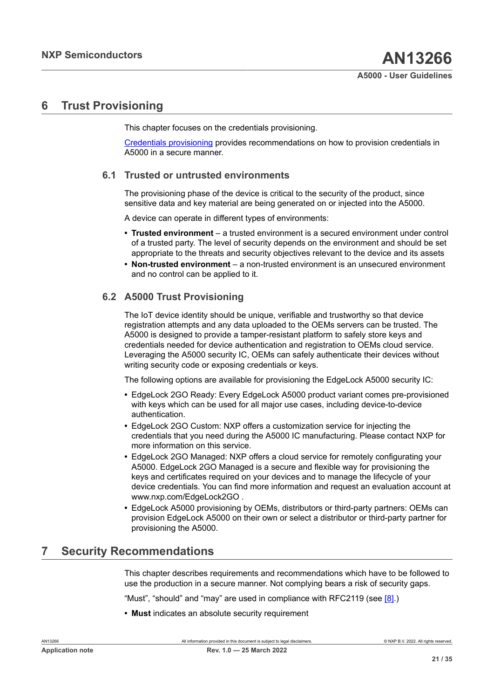## <span id="page-20-1"></span>**6 Trust Provisioning**

This chapter focuses on the credentials provisioning.

[Credentials provisioning](#page-26-1) provides recommendations on how to provision credentials in A5000 in a secure manner.

### **6.1 Trusted or untrusted environments**

<span id="page-20-2"></span>The provisioning phase of the device is critical to the security of the product, since sensitive data and key material are being generated on or injected into the A5000.

A device can operate in different types of environments:

- **• Trusted environment** a trusted environment is a secured environment under control of a trusted party. The level of security depends on the environment and should be set appropriate to the threats and security objectives relevant to the device and its assets
- **• Non-trusted environment** a non-trusted environment is an unsecured environment and no control can be applied to it.

## **6.2 A5000 Trust Provisioning**

<span id="page-20-0"></span>The IoT device identity should be unique, verifiable and trustworthy so that device registration attempts and any data uploaded to the OEMs servers can be trusted. The A5000 is designed to provide a tamper-resistant platform to safely store keys and credentials needed for device authentication and registration to OEMs cloud service. Leveraging the A5000 security IC, OEMs can safely authenticate their devices without writing security code or exposing credentials or keys.

The following options are available for provisioning the EdgeLock A5000 security IC:

- **•** EdgeLock 2GO Ready: Every EdgeLock A5000 product variant comes pre-provisioned with keys which can be used for all major use cases, including device-to-device authentication.
- **•** EdgeLock 2GO Custom: NXP offers a customization service for injecting the credentials that you need during the A5000 IC manufacturing. Please contact NXP for more information on this service.
- **•** EdgeLock 2GO Managed: NXP offers a cloud service for remotely configurating your A5000. EdgeLock 2GO Managed is a secure and flexible way for provisioning the keys and certificates required on your devices and to manage the lifecycle of your device credentials. You can find more information and request an evaluation account at www.nxp.com/EdgeLock2GO .
- **•** EdgeLock A5000 provisioning by OEMs, distributors or third-party partners: OEMs can provision EdgeLock A5000 on their own or select a distributor or third-party partner for provisioning the A5000.

## <span id="page-20-3"></span>**7 Security Recommendations**

This chapter describes requirements and recommendations which have to be followed to use the production in a secure manner. Not complying bears a risk of security gaps.

"Must", "should" and "may" are used in compliance with RFC2119 (see [\[8\].](#page-31-9))

**• Must** indicates an absolute security requirement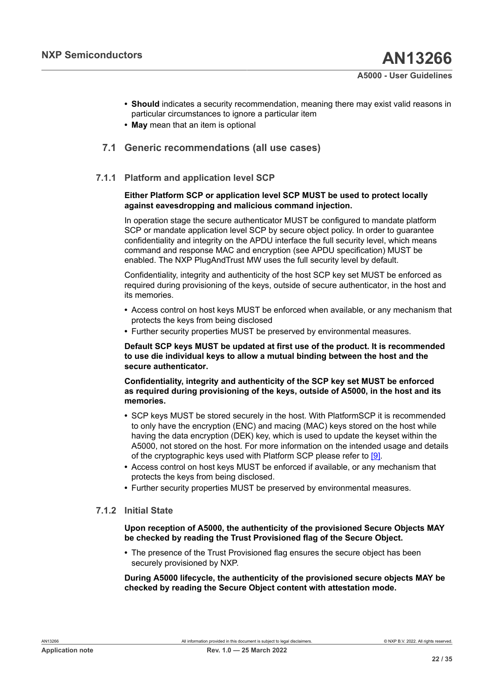- **• Should** indicates a security recommendation, meaning there may exist valid reasons in particular circumstances to ignore a particular item
- <span id="page-21-0"></span>**• May** mean that an item is optional

## **7.1 Generic recommendations (all use cases)**

#### **7.1.1 Platform and application level SCP**

#### <span id="page-21-1"></span>**Either Platform SCP or application level SCP MUST be used to protect locally against eavesdropping and malicious command injection.**

In operation stage the secure authenticator MUST be configured to mandate platform SCP or mandate application level SCP by secure object policy. In order to guarantee confidentiality and integrity on the APDU interface the full security level, which means command and response MAC and encryption (see APDU specification) MUST be enabled. The NXP PlugAndTrust MW uses the full security level by default.

Confidentiality, integrity and authenticity of the host SCP key set MUST be enforced as required during provisioning of the keys, outside of secure authenticator, in the host and its memories.

- **•** Access control on host keys MUST be enforced when available, or any mechanism that protects the keys from being disclosed
- **•** Further security properties MUST be preserved by environmental measures.

#### **Default SCP keys MUST be updated at first use of the product. It is recommended to use die individual keys to allow a mutual binding between the host and the secure authenticator.**

#### **Confidentiality, integrity and authenticity of the SCP key set MUST be enforced as required during provisioning of the keys, outside of A5000, in the host and its memories.**

- **•** SCP keys MUST be stored securely in the host. With PlatformSCP it is recommended to only have the encryption (ENC) and macing (MAC) keys stored on the host while having the data encryption (DEK) key, which is used to update the keyset within the A5000, not stored on the host. For more information on the intended usage and details of the cryptographic keys used with Platform SCP please refer to [\[9\]](#page-31-3).
- **•** Access control on host keys MUST be enforced if available, or any mechanism that protects the keys from being disclosed.
- <span id="page-21-2"></span>**•** Further security properties MUST be preserved by environmental measures.

### **7.1.2 Initial State**

**Upon reception of A5000, the authenticity of the provisioned Secure Objects MAY be checked by reading the Trust Provisioned flag of the Secure Object.**

**•** The presence of the Trust Provisioned flag ensures the secure object has been securely provisioned by NXP.

**During A5000 lifecycle, the authenticity of the provisioned secure objects MAY be checked by reading the Secure Object content with attestation mode.**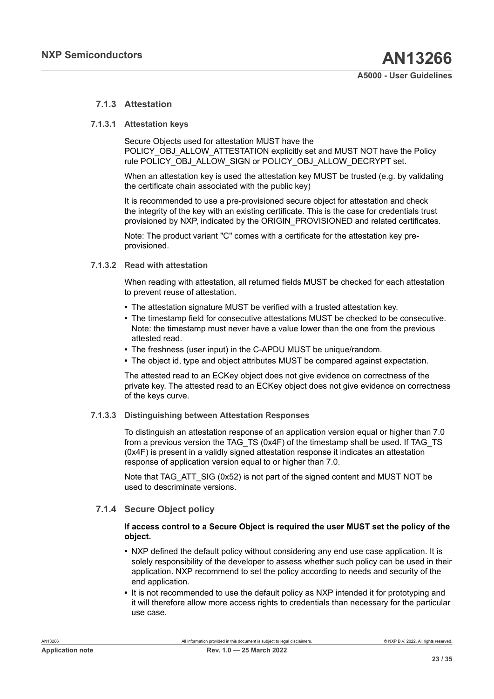#### <span id="page-22-1"></span>**7.1.3 Attestation**

#### **7.1.3.1 Attestation keys**

<span id="page-22-2"></span>Secure Objects used for attestation MUST have the POLICY\_OBJ\_ALLOW\_ATTESTATION explicitly set and MUST NOT have the Policy rule POLICY\_OBJ\_ALLOW\_SIGN or POLICY\_OBJ\_ALLOW\_DECRYPT set.

When an attestation key is used the attestation key MUST be trusted (e.g. by validating the certificate chain associated with the public key)

It is recommended to use a pre-provisioned secure object for attestation and check the integrity of the key with an existing certificate. This is the case for credentials trust provisioned by NXP, indicated by the ORIGIN\_PROVISIONED and related certificates.

<span id="page-22-3"></span>Note: The product variant "C" comes with a certificate for the attestation key preprovisioned.

### **7.1.3.2 Read with attestation**

When reading with attestation, all returned fields MUST be checked for each attestation to prevent reuse of attestation.

- **•** The attestation signature MUST be verified with a trusted attestation key.
- **•** The timestamp field for consecutive attestations MUST be checked to be consecutive. Note: the timestamp must never have a value lower than the one from the previous attested read.
- **•** The freshness (user input) in the C-APDU MUST be unique/random.
- **•** The object id, type and object attributes MUST be compared against expectation.

The attested read to an ECKey object does not give evidence on correctness of the private key. The attested read to an ECKey object does not give evidence on correctness of the keys curve.

#### **7.1.3.3 Distinguishing between Attestation Responses**

<span id="page-22-4"></span>To distinguish an attestation response of an application version equal or higher than 7.0 from a previous version the TAG\_TS (0x4F) of the timestamp shall be used. If TAG\_TS (0x4F) is present in a validly signed attestation response it indicates an attestation response of application version equal to or higher than 7.0.

Note that TAG\_ATT\_SIG (0x52) is not part of the signed content and MUST NOT be used to descriminate versions.

#### **7.1.4 Secure Object policy**

#### <span id="page-22-0"></span>**If access control to a Secure Object is required the user MUST set the policy of the object.**

- **•** NXP defined the default policy without considering any end use case application. It is solely responsibility of the developer to assess whether such policy can be used in their application. NXP recommend to set the policy according to needs and security of the end application.
- **•** It is not recommended to use the default policy as NXP intended it for prototyping and it will therefore allow more access rights to credentials than necessary for the particular use case.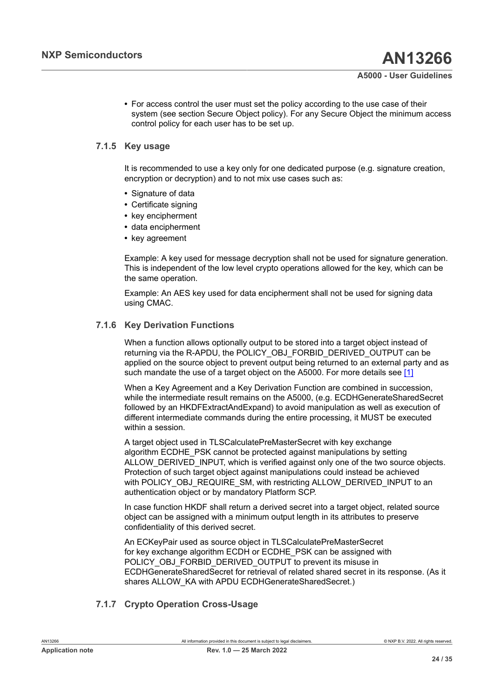**•** For access control the user must set the policy according to the use case of their system (see section Secure Object policy). For any Secure Object the minimum access control policy for each user has to be set up.

#### **7.1.5 Key usage**

<span id="page-23-0"></span>It is recommended to use a key only for one dedicated purpose (e.g. signature creation, encryption or decryption) and to not mix use cases such as:

- **•** Signature of data
- **•** Certificate signing
- **•** key encipherment
- **•** data encipherment
- **•** key agreement

Example: A key used for message decryption shall not be used for signature generation. This is independent of the low level crypto operations allowed for the key, which can be the same operation.

Example: An AES key used for data encipherment shall not be used for signing data using CMAC.

#### **7.1.6 Key Derivation Functions**

<span id="page-23-1"></span>When a function allows optionally output to be stored into a target object instead of returning via the R-APDU, the POLICY\_OBJ\_FORBID\_DERIVED\_OUTPUT can be applied on the source object to prevent output being returned to an external party and as such mandate the use of a target object on the A5000. For more details see [\[1\]](#page-31-0)

When a Key Agreement and a Key Derivation Function are combined in succession, while the intermediate result remains on the A5000, (e.g. ECDHGenerateSharedSecret followed by an HKDFExtractAndExpand) to avoid manipulation as well as execution of different intermediate commands during the entire processing, it MUST be executed within a session.

A target object used in TLSCalculatePreMasterSecret with key exchange algorithm ECDHE\_PSK cannot be protected against manipulations by setting ALLOW\_DERIVED\_INPUT, which is verified against only one of the two source objects. Protection of such target object against manipulations could instead be achieved with POLICY\_OBJ\_REQUIRE\_SM, with restricting ALLOW\_DERIVED\_INPUT to an authentication object or by mandatory Platform SCP.

In case function HKDF shall return a derived secret into a target object, related source object can be assigned with a minimum output length in its attributes to preserve confidentiality of this derived secret.

An ECKeyPair used as source object in TLSCalculatePreMasterSecret for key exchange algorithm ECDH or ECDHE\_PSK can be assigned with POLICY\_OBJ\_FORBID\_DERIVED\_OUTPUT to prevent its misuse in ECDHGenerateSharedSecret for retrieval of related shared secret in its response. (As it shares ALLOW KA with APDU ECDHGenerateSharedSecret.)

## <span id="page-23-2"></span>**7.1.7 Crypto Operation Cross-Usage**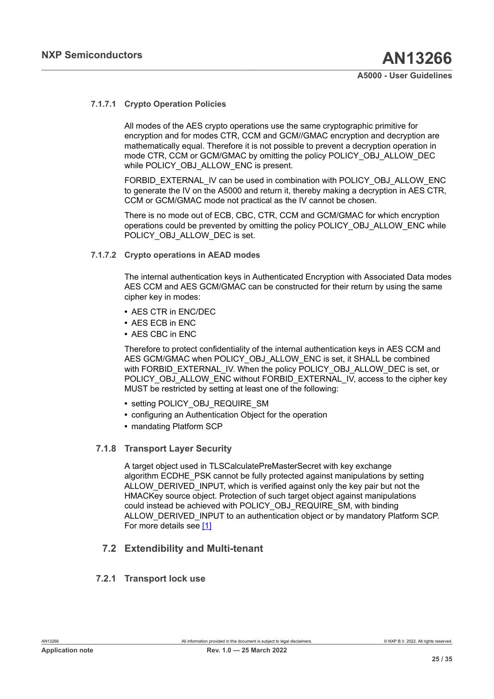#### **7.1.7.1 Crypto Operation Policies**

<span id="page-24-2"></span>All modes of the AES crypto operations use the same cryptographic primitive for encryption and for modes CTR, CCM and GCM//GMAC encryption and decryption are mathematically equal. Therefore it is not possible to prevent a decryption operation in mode CTR, CCM or GCM/GMAC by omitting the policy POLICY\_OBJ\_ALLOW\_DEC while POLICY OBJ ALLOW ENC is present.

FORBID\_EXTERNAL\_IV can be used in combination with POLICY\_OBJ\_ALLOW\_ENC to generate the IV on the A5000 and return it, thereby making a decryption in AES CTR, CCM or GCM/GMAC mode not practical as the IV cannot be chosen.

There is no mode out of ECB, CBC, CTR, CCM and GCM/GMAC for which encryption operations could be prevented by omitting the policy POLICY\_OBJ\_ALLOW\_ENC while POLICY\_OBJ\_ALLOW\_DEC is set.

#### **7.1.7.2 Crypto operations in AEAD modes**

<span id="page-24-3"></span>The internal authentication keys in Authenticated Encryption with Associated Data modes AES CCM and AES GCM/GMAC can be constructed for their return by using the same cipher key in modes:

- **•** AES CTR in ENC/DEC
- **•** AES ECB in ENC
- **•** AES CBC in ENC

Therefore to protect confidentiality of the internal authentication keys in AES CCM and AES GCM/GMAC when POLICY OBJ ALLOW ENC is set, it SHALL be combined with FORBID\_EXTERNAL\_IV. When the policy POLICY\_OBJ\_ALLOW\_DEC is set, or POLICY\_OBJ\_ALLOW\_ENC without FORBID\_EXTERNAL\_IV, access to the cipher key MUST be restricted by setting at least one of the following:

- **•** setting POLICY\_OBJ\_REQUIRE\_SM
- **•** configuring an Authentication Object for the operation
- <span id="page-24-4"></span>**•** mandating Platform SCP

### **7.1.8 Transport Layer Security**

A target object used in TLSCalculatePreMasterSecret with key exchange algorithm ECDHE\_PSK cannot be fully protected against manipulations by setting ALLOW\_DERIVED\_INPUT, which is verified against only the key pair but not the HMACKey source object. Protection of such target object against manipulations could instead be achieved with POLICY\_OBJ\_REQUIRE\_SM, with binding ALLOW\_DERIVED\_INPUT to an authentication object or by mandatory Platform SCP. For more details see [\[1\]](#page-31-0)

## <span id="page-24-0"></span>**7.2 Extendibility and Multi-tenant**

### <span id="page-24-1"></span>**7.2.1 Transport lock use**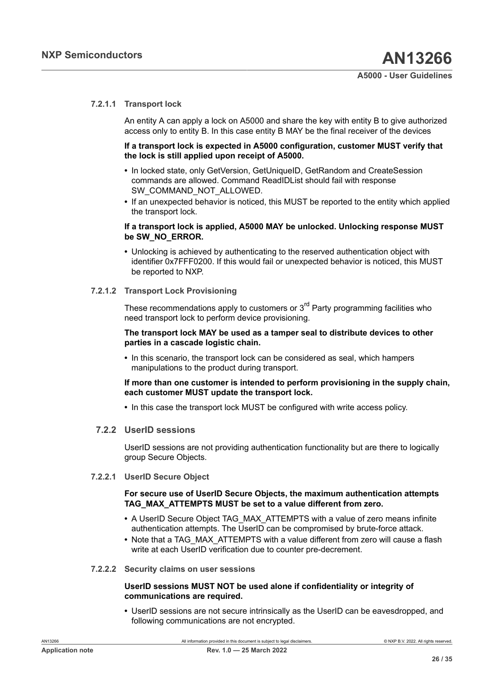#### **7.2.1.1 Transport lock**

<span id="page-25-1"></span>An entity A can apply a lock on A5000 and share the key with entity B to give authorized access only to entity B. In this case entity B MAY be the final receiver of the devices

#### **If a transport lock is expected in A5000 configuration, customer MUST verify that the lock is still applied upon receipt of A5000.**

- **•** In locked state, only GetVersion, GetUniqueID, GetRandom and CreateSession commands are allowed. Command ReadIDList should fail with response SW\_COMMAND\_NOT\_ALLOWED.
- **•** If an unexpected behavior is noticed, this MUST be reported to the entity which applied the transport lock.

#### **If a transport lock is applied, A5000 MAY be unlocked. Unlocking response MUST be SW\_NO\_ERROR.**

**•** Unlocking is achieved by authenticating to the reserved authentication object with identifier 0x7FFF0200. If this would fail or unexpected behavior is noticed, this MUST be reported to NXP.

#### **7.2.1.2 Transport Lock Provisioning**

<span id="page-25-2"></span>These recommendations apply to customers or  $3<sup>rd</sup>$  Party programming facilities who need transport lock to perform device provisioning.

#### **The transport lock MAY be used as a tamper seal to distribute devices to other parties in a cascade logistic chain.**

**•** In this scenario, the transport lock can be considered as seal, which hampers manipulations to the product during transport.

#### **If more than one customer is intended to perform provisioning in the supply chain, each customer MUST update the transport lock.**

<span id="page-25-3"></span>**•** In this case the transport lock MUST be configured with write access policy.

#### **7.2.2 UserID sessions**

UserID sessions are not providing authentication functionality but are there to logically group Secure Objects.

#### **7.2.2.1 UserID Secure Object**

#### <span id="page-25-4"></span>**For secure use of UserID Secure Objects, the maximum authentication attempts TAG\_MAX\_ATTEMPTS MUST be set to a value different from zero.**

- **•** A UserID Secure Object TAG\_MAX\_ATTEMPTS with a value of zero means infinite authentication attempts. The UserID can be compromised by brute-force attack.
- **•** Note that a TAG\_MAX\_ATTEMPTS with a value different from zero will cause a flash write at each UserID verification due to counter pre-decrement.
- **7.2.2.2 Security claims on user sessions**

#### <span id="page-25-0"></span>**UserID sessions MUST NOT be used alone if confidentiality or integrity of communications are required.**

**•** UserID sessions are not secure intrinsically as the UserID can be eavesdropped, and following communications are not encrypted.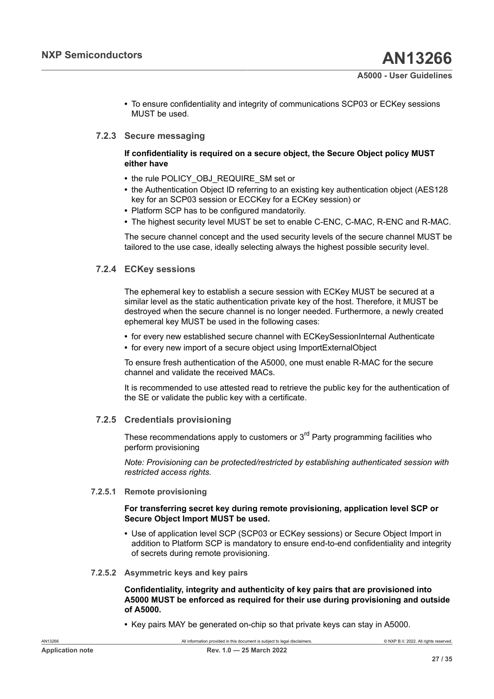**•** To ensure confidentiality and integrity of communications SCP03 or ECKey sessions MUST be used.

#### **7.2.3 Secure messaging**

#### <span id="page-26-2"></span><span id="page-26-0"></span>**If confidentiality is required on a secure object, the Secure Object policy MUST either have**

- **•** the rule POLICY\_OBJ\_REQUIRE\_SM set or
- the Authentication Object ID referring to an existing key authentication object (AES128) key for an SCP03 session or ECCKey for a ECKey session) or
- **•** Platform SCP has to be configured mandatorily.
- **•** The highest security level MUST be set to enable C-ENC, C-MAC, R-ENC and R-MAC.

The secure channel concept and the used security levels of the secure channel MUST be tailored to the use case, ideally selecting always the highest possible security level.

### **7.2.4 ECKey sessions**

<span id="page-26-3"></span>The ephemeral key to establish a secure session with ECKey MUST be secured at a similar level as the static authentication private key of the host. Therefore, it MUST be destroyed when the secure channel is no longer needed. Furthermore, a newly created ephemeral key MUST be used in the following cases:

- **•** for every new established secure channel with ECKeySessionInternal Authenticate
- **•** for every new import of a secure object using ImportExternalObject

To ensure fresh authentication of the A5000, one must enable R-MAC for the secure channel and validate the received MACs.

It is recommended to use attested read to retrieve the public key for the authentication of the SE or validate the public key with a certificate.

#### **7.2.5 Credentials provisioning**

<span id="page-26-1"></span>These recommendations apply to customers or 3<sup>rd</sup> Party programming facilities who perform provisioning

*Note: Provisioning can be protected/restricted by establishing authenticated session with restricted access rights.*

**7.2.5.1 Remote provisioning**

#### <span id="page-26-4"></span>**For transferring secret key during remote provisioning, application level SCP or Secure Object Import MUST be used.**

- **•** Use of application level SCP (SCP03 or ECKey sessions) or Secure Object Import in addition to Platform SCP is mandatory to ensure end-to-end confidentiality and integrity of secrets during remote provisioning.
- **7.2.5.2 Asymmetric keys and key pairs**

#### <span id="page-26-5"></span>**Confidentiality, integrity and authenticity of key pairs that are provisioned into A5000 MUST be enforced as required for their use during provisioning and outside of A5000.**

**•** Key pairs MAY be generated on-chip so that private keys can stay in A5000.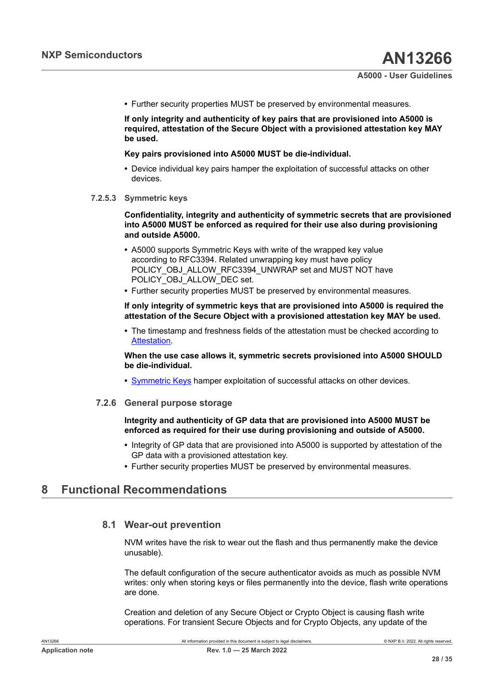**•** Further security properties MUST be preserved by environmental measures.

**If only integrity and authenticity of key pairs that are provisioned into A5000 is required, attestation of the Secure Object with a provisioned attestation key MAY be used.**

#### **Key pairs provisioned into A5000 MUST be die-individual.**

- **•** Device individual key pairs hamper the exploitation of successful attacks on other devices.
- **7.2.5.3 Symmetric keys**

<span id="page-27-1"></span>**Confidentiality, integrity and authenticity of symmetric secrets that are provisioned into A5000 MUST be enforced as required for their use also during provisioning and outside A5000.**

- **•** A5000 supports Symmetric Keys with write of the wrapped key value according to RFC3394. Related unwrapping key must have policy POLICY\_OBJ\_ALLOW\_RFC3394\_UNWRAP set and MUST NOT have POLICY\_OBJ\_ALLOW\_DEC set.
- **•** Further security properties MUST be preserved by environmental measures.

#### **If only integrity of symmetric keys that are provisioned into A5000 is required the attestation of the Secure Object with a provisioned attestation key MAY be used.**

**•** The timestamp and freshness fields of the attestation must be checked according to [Attestation.](#page-22-1)

<span id="page-27-0"></span>**When the use case allows it, symmetric secrets provisioned into A5000 SHOULD be die-individual.**

<span id="page-27-2"></span>**•** [Symmetric Keys](#page-27-0) hamper exploitation of successful attacks on other devices.

#### **7.2.6 General purpose storage**

#### **Integrity and authenticity of GP data that are provisioned into A5000 MUST be enforced as required for their use during provisioning and outside of A5000.**

- **•** Integrity of GP data that are provisioned into A5000 is supported by attestation of the GP data with a provisioned attestation key.
- **•** Further security properties MUST be preserved by environmental measures.

## <span id="page-27-3"></span>**8 Functional Recommendations**

### <span id="page-27-4"></span>**8.1 Wear-out prevention**

NVM writes have the risk to wear out the flash and thus permanently make the device unusable).

The default configuration of the secure authenticator avoids as much as possible NVM writes: only when storing keys or files permanently into the device, flash write operations are done.

Creation and deletion of any Secure Object or Crypto Object is causing flash write operations. For transient Secure Objects and for Crypto Objects, any update of the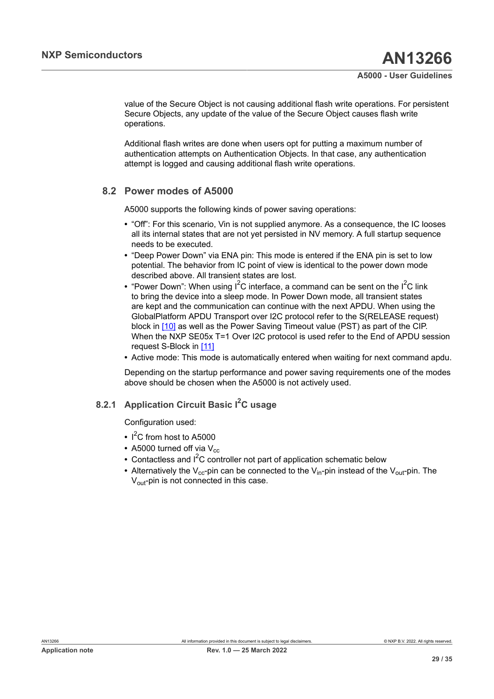value of the Secure Object is not causing additional flash write operations. For persistent Secure Objects, any update of the value of the Secure Object causes flash write operations.

Additional flash writes are done when users opt for putting a maximum number of authentication attempts on Authentication Objects. In that case, any authentication attempt is logged and causing additional flash write operations.

## **8.2 Power modes of A5000**

<span id="page-28-0"></span>A5000 supports the following kinds of power saving operations:

- **•** "Off": For this scenario, Vin is not supplied anymore. As a consequence, the IC looses all its internal states that are not yet persisted in NV memory. A full startup sequence needs to be executed.
- **•** "Deep Power Down" via ENA pin: This mode is entered if the ENA pin is set to low potential. The behavior from IC point of view is identical to the power down mode described above. All transient states are lost.
- "Power Down": When using I<sup>2</sup>C interface, a command can be sent on the I<sup>2</sup>C link to bring the device into a sleep mode. In Power Down mode, all transient states are kept and the communication can continue with the next APDU. When using the GlobalPlatform APDU Transport over I2C protocol refer to the S(RELEASE request) block in [\[10\]](#page-31-10) as well as the Power Saving Timeout value (PST) as part of the CIP. When the NXP SE05x T=1 Over I2C protocol is used refer to the End of APDU session request S-Block in [\[11\]](#page-31-11)
- **•** Active mode: This mode is automatically entered when waiting for next command apdu.

Depending on the startup performance and power saving requirements one of the modes above should be chosen when the A5000 is not actively used.

## **8.2.1 Application Circuit Basic I2C usage**

<span id="page-28-1"></span>Configuration used:

- **•** I <sup>2</sup>C from host to A5000
- A5000 turned off via  $V_{cc}$
- Contactless and I<sup>2</sup>C controller not part of application schematic below
- Alternatively the V<sub>cc</sub>-pin can be connected to the V<sub>in</sub>-pin instead of the V<sub>out</sub>-pin. The  $V_{\text{out}}$ -pin is not connected in this case.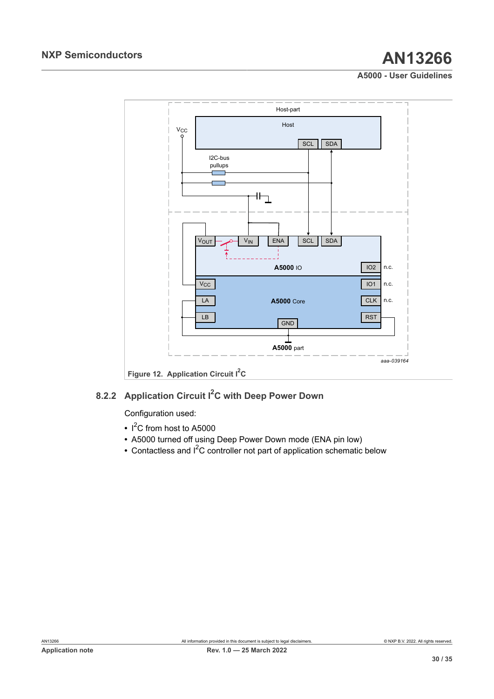<span id="page-29-0"></span>

## **8.2.2 Application Circuit I2C with Deep Power Down**

<span id="page-29-1"></span>Configuration used:

- **•** I <sup>2</sup>C from host to A5000
- **•** A5000 turned off using Deep Power Down mode (ENA pin low)
- Contactless and I<sup>2</sup>C controller not part of application schematic below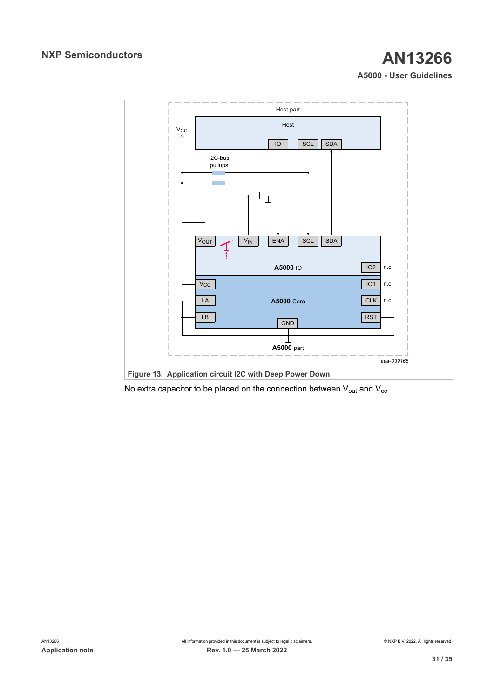<span id="page-30-0"></span>

No extra capacitor to be placed on the connection between  $V_{out}$  and  $V_{cc}$ .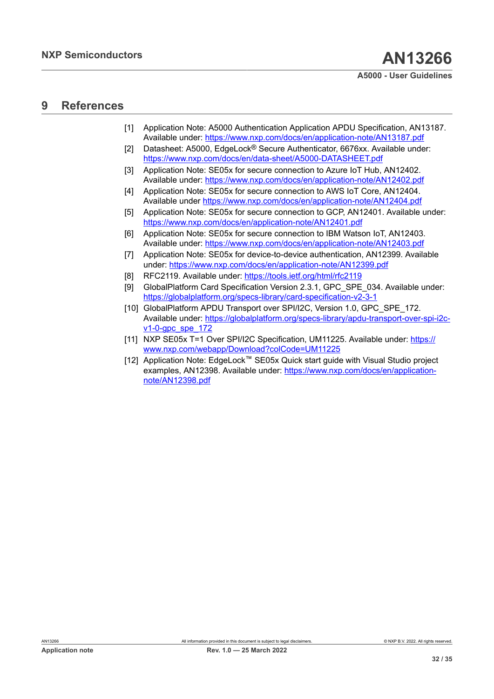## <span id="page-31-12"></span>**9 References**

- <span id="page-31-0"></span>[1] Application Note: A5000 Authentication Application APDU Specification, AN13187. Available under: <https://www.nxp.com/docs/en/application-note/AN13187.pdf>
- <span id="page-31-2"></span>[2] Datasheet: A5000, EdgeLock® Secure Authenticator, 6676xx. Available under: <https://www.nxp.com/docs/en/data-sheet/A5000-DATASHEET.pdf>
- <span id="page-31-4"></span>[3] Application Note: SE05x for secure connection to Azure IoT Hub, AN12402. Available under: <https://www.nxp.com/docs/en/application-note/AN12402.pdf>
- <span id="page-31-5"></span>[4] Application Note: SE05x for secure connection to AWS IoT Core, AN12404. Available under <https://www.nxp.com/docs/en/application-note/AN12404.pdf>
- <span id="page-31-6"></span>[5] Application Note: SE05x for secure connection to GCP, AN12401. Available under: <https://www.nxp.com/docs/en/application-note/AN12401.pdf>
- <span id="page-31-7"></span>[6] Application Note: SE05x for secure connection to IBM Watson IoT, AN12403. Available under: <https://www.nxp.com/docs/en/application-note/AN12403.pdf>
- <span id="page-31-8"></span>[7] Application Note: SE05x for device-to-device authentication, AN12399. Available under:<https://www.nxp.com/docs/en/application-note/AN12399.pdf>
- <span id="page-31-9"></span>[8] RFC2119. Available under: <https://tools.ietf.org/html/rfc2119>
- <span id="page-31-3"></span>[9] GlobalPlatform Card Specification Version 2.3.1, GPC SPE 034. Available under: <https://globalplatform.org/specs-library/card-specification-v2-3-1>
- <span id="page-31-10"></span>[10] GlobalPlatform APDU Transport over SPI/I2C, Version 1.0, GPC, SPE, 172. Available under: [https://globalplatform.org/specs-library/apdu-transport-over-spi-i2c](https://globalplatform.org/specs-library/apdu-transport-over-spi-i2c-v1-0-gpc_spe_172)[v1-0-gpc\\_spe\\_172](https://globalplatform.org/specs-library/apdu-transport-over-spi-i2c-v1-0-gpc_spe_172)
- <span id="page-31-11"></span>[11] NXP SE05x T=1 Over SPI/I2C Specification, UM11225. Available under: [https://](https://www.nxp.com/webapp/Download?colCode=UM11225) [www.nxp.com/webapp/Download?colCode=UM11225](https://www.nxp.com/webapp/Download?colCode=UM11225)
- <span id="page-31-1"></span>[12] Application Note: EdgeLock™ SE05x Quick start guide with Visual Studio project examples, AN12398. Available under: [https://www.nxp.com/docs/en/application](https://www.nxp.com/docs/en/application-note/AN12398.pdf)[note/AN12398.pdf](https://www.nxp.com/docs/en/application-note/AN12398.pdf)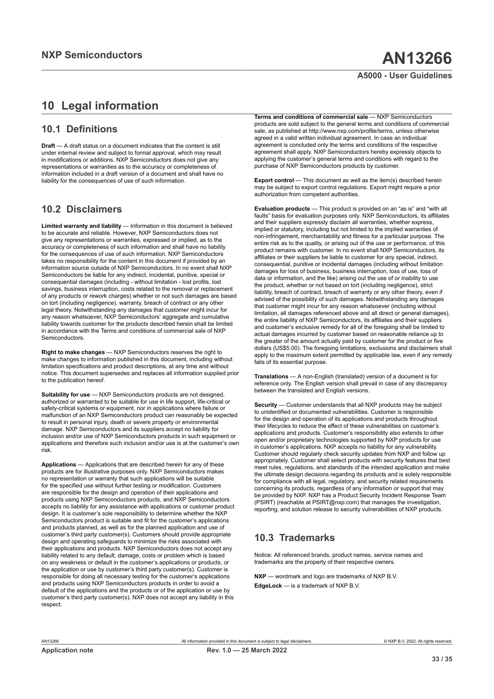# <span id="page-32-0"></span>**10 Legal information**

## **10.1 Definitions**

**Draft** — A draft status on a document indicates that the content is still under internal review and subject to formal approval, which may result in modifications or additions. NXP Semiconductors does not give any representations or warranties as to the accuracy or completeness of information included in a draft version of a document and shall have no liability for the consequences of use of such information.

## **10.2 Disclaimers**

**Limited warranty and liability** — Information in this document is believed to be accurate and reliable. However, NXP Semiconductors does not give any representations or warranties, expressed or implied, as to the accuracy or completeness of such information and shall have no liability for the consequences of use of such information. NXP Semiconductors takes no responsibility for the content in this document if provided by an information source outside of NXP Semiconductors. In no event shall NXP Semiconductors be liable for any indirect, incidental, punitive, special or consequential damages (including - without limitation - lost profits, lost savings, business interruption, costs related to the removal or replacement of any products or rework charges) whether or not such damages are based on tort (including negligence), warranty, breach of contract or any other legal theory. Notwithstanding any damages that customer might incur for any reason whatsoever, NXP Semiconductors' aggregate and cumulative liability towards customer for the products described herein shall be limited in accordance with the Terms and conditions of commercial sale of NXP Semiconductors.

**Right to make changes** — NXP Semiconductors reserves the right to make changes to information published in this document, including without limitation specifications and product descriptions, at any time and without notice. This document supersedes and replaces all information supplied prior to the publication hereof.

**Suitability for use** — NXP Semiconductors products are not designed, authorized or warranted to be suitable for use in life support, life-critical or safety-critical systems or equipment, nor in applications where failure or malfunction of an NXP Semiconductors product can reasonably be expected to result in personal injury, death or severe property or environmental damage. NXP Semiconductors and its suppliers accept no liability for inclusion and/or use of NXP Semiconductors products in such equipment or applications and therefore such inclusion and/or use is at the customer's own risk.

**Applications** — Applications that are described herein for any of these products are for illustrative purposes only. NXP Semiconductors makes no representation or warranty that such applications will be suitable for the specified use without further testing or modification. Customers are responsible for the design and operation of their applications and products using NXP Semiconductors products, and NXP Semiconductors accepts no liability for any assistance with applications or customer product design. It is customer's sole responsibility to determine whether the NXP Semiconductors product is suitable and fit for the customer's applications and products planned, as well as for the planned application and use of customer's third party customer(s). Customers should provide appropriate design and operating safeguards to minimize the risks associated with their applications and products. NXP Semiconductors does not accept any liability related to any default, damage, costs or problem which is based on any weakness or default in the customer's applications or products, or the application or use by customer's third party customer(s). Customer is responsible for doing all necessary testing for the customer's applications and products using NXP Semiconductors products in order to avoid a default of the applications and the products or of the application or use by customer's third party customer(s). NXP does not accept any liability in this respect.

**Terms and conditions of commercial sale** — NXP Semiconductors products are sold subject to the general terms and conditions of commercial sale, as published at http://www.nxp.com/profile/terms, unless otherwise agreed in a valid written individual agreement. In case an individual agreement is concluded only the terms and conditions of the respective agreement shall apply. NXP Semiconductors hereby expressly objects to applying the customer's general terms and conditions with regard to the purchase of NXP Semiconductors products by customer.

**Export control** — This document as well as the item(s) described herein may be subject to export control regulations. Export might require a prior authorization from competent authorities.

**Evaluation products** — This product is provided on an "as is" and "with all faults" basis for evaluation purposes only. NXP Semiconductors, its affiliates and their suppliers expressly disclaim all warranties, whether express, implied or statutory, including but not limited to the implied warranties of non-infringement, merchantability and fitness for a particular purpose. The entire risk as to the quality, or arising out of the use or performance, of this product remains with customer. In no event shall NXP Semiconductors, its affiliates or their suppliers be liable to customer for any special, indirect, consequential, punitive or incidental damages (including without limitation damages for loss of business, business interruption, loss of use, loss of data or information, and the like) arising out the use of or inability to use the product, whether or not based on tort (including negligence), strict liability, breach of contract, breach of warranty or any other theory, even if advised of the possibility of such damages. Notwithstanding any damages that customer might incur for any reason whatsoever (including without limitation, all damages referenced above and all direct or general damages), the entire liability of NXP Semiconductors, its affiliates and their suppliers and customer's exclusive remedy for all of the foregoing shall be limited to actual damages incurred by customer based on reasonable reliance up to the greater of the amount actually paid by customer for the product or five dollars (US\$5.00). The foregoing limitations, exclusions and disclaimers shall apply to the maximum extent permitted by applicable law, even if any remedy fails of its essential purpose.

**Translations** — A non-English (translated) version of a document is for reference only. The English version shall prevail in case of any discrepancy between the translated and English versions.

**Security** — Customer understands that all NXP products may be subject to unidentified or documented vulnerabilities. Customer is responsible for the design and operation of its applications and products throughout their lifecycles to reduce the effect of these vulnerabilities on customer's applications and products. Customer's responsibility also extends to other open and/or proprietary technologies supported by NXP products for use in customer's applications. NXP accepts no liability for any vulnerability. Customer should regularly check security updates from NXP and follow up appropriately. Customer shall select products with security features that best meet rules, regulations, and standards of the intended application and make the ultimate design decisions regarding its products and is solely responsible for compliance with all legal, regulatory, and security related requirements concerning its products, regardless of any information or support that may be provided by NXP. NXP has a Product Security Incident Response Team (PSIRT) (reachable at PSIRT@nxp.com) that manages the investigation, reporting, and solution release to security vulnerabilities of NXP products.

## **10.3 Trademarks**

Notice: All referenced brands, product names, service names and trademarks are the property of their respective owners.

**NXP** — wordmark and logo are trademarks of NXP B.V. **EdgeLock** — is a trademark of NXP B.V.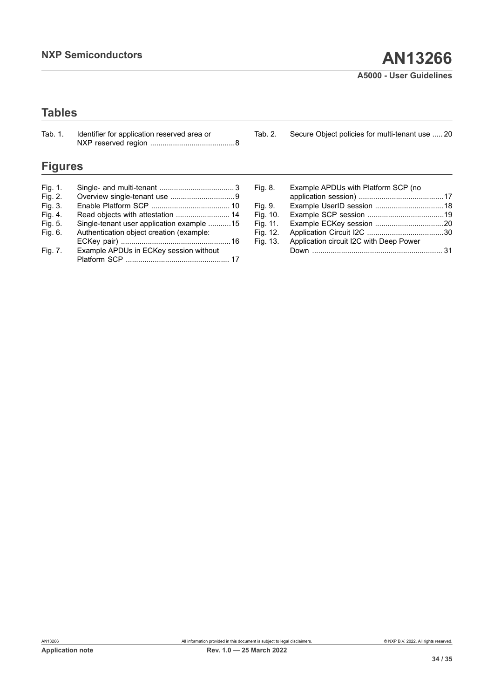# **Tables**

| Tab. 1. | Identifier for application reserved area or | Tab. 2. | Secure Object policies for multi-tenant use  20 |
|---------|---------------------------------------------|---------|-------------------------------------------------|
|         |                                             |         |                                                 |

# **Figures**

| Read objects with attestation  14         |
|-------------------------------------------|
| Single-tenant user application example 15 |
| Authentication object creation (example:  |
|                                           |
| Example APDUs in ECKey session without    |
|                                           |
|                                           |

| Example APDUs with Platform SCP (no     |  |
|-----------------------------------------|--|
|                                         |  |
|                                         |  |
|                                         |  |
|                                         |  |
|                                         |  |
| Application circuit I2C with Deep Power |  |
|                                         |  |
|                                         |  |